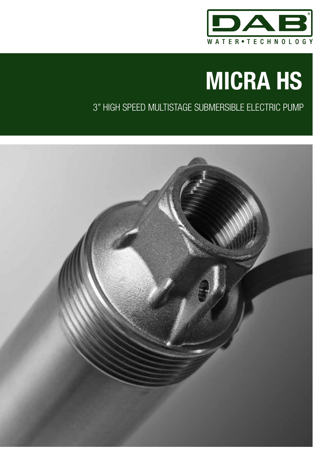

# 3" HIGH SPEED MULTISTAGE SUBMERSIBLE ELECTRIC PUMP

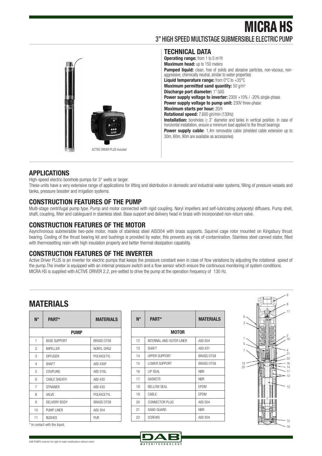### 3" HIGH SPEED MULTISTAGE SUBMERSIBLE ELECTRIC PUMP



**TECHNICAL DATA Operating range:** from 1 to 5 m<sup>3</sup>/h **Maximum head:** up to 150 meters Pumped liquid: clean, free of solids and abrasive particles, non-viscous, nonaggressive, chemically neutral, similar to water properties Liquid temperature range: from 0°C to +35°C **Maximum permitted sand quantity:** 50 g/m3 **Discharge port diameter:** 1" GAS **Power supply voltage to inverter:** 230V +10% / -20% single-phase **Power supply voltage to pump unit: 230V three-phase Maximum starts per hour:** 20/h **Rotational speed:** 7.600 giri/min (130Hz) **Installation:** boreholes ≥ 3" diameter and tanks in vertical position. In case of horiziontal installation, ensure a minimum load applied to the thrust bearings **Power supply cable:** 1,4m removable cable (shielded cable extension up to 30m, 60m, 90m are available as accessories)

#### **APPLICATIONS**

High-speed electric borehole pumps for 3" wells or larger.

These units have a very extensive range of applications for lifting and distribution in domestic and industrial water systems, filling of pressure vessels and tanks, pressure booster and irrigation systems.

#### **CONSTRUCTION FEATURES OF THE PUMP**

Multi-stage centrifugal pump type. Pump and motor connected with rigid coupling. Noryl impellers and self-lubricating polyacetyl diffusers. Pump shell, shaft, coupling, filter and cableguard in stainless steel. Base support and delivery head in brass with incorporated non-return valve.

#### **CONSTRUCTION FEATURES OF THE MOTOR**

Asynchronous submersible two-pole motor, made of stainless steel AISI304 with brass supports. Squirrel cage rotor mounted on Kingsbury thrust bearing. Cooling of the thrust bearing kit and bushings is provided by water, this prevents any risk of contamination. Stainless steel canned stator, filled with thermosetting resin with high insulation property and better thermal dissipation capability.

#### **CONSTRUCTION FEATURES OF THE INVERTER**

Active Driver PLUS is an inverter for electric pumps that keeps the pressure constant even in case of flow variations by adjusting the rotational speed of the pump.The inveter is equipped with an internal pressure switch and a flow sensor which ensure the continuous monitoring of system conditions. MICRA HS is supplied with ACTIVE DRIVER 2.2, pre-setted to drive the pump at the operation frequency of 130 Hz.

### **MATERIALS**

| N°             | <b>PART*</b>        | <b>MATERIALS</b>  |  |  |  |  |  |  |  |  |  |  |
|----------------|---------------------|-------------------|--|--|--|--|--|--|--|--|--|--|
|                | <b>PUMP</b>         |                   |  |  |  |  |  |  |  |  |  |  |
| 1              | <b>BASE SUPPORT</b> | <b>BRASS OT58</b> |  |  |  |  |  |  |  |  |  |  |
| $\overline{c}$ | <b>IMPELLER</b>     | NORYL GFN2        |  |  |  |  |  |  |  |  |  |  |
| 3              | <b>DIFFUSFR</b>     | POI YACFTYI       |  |  |  |  |  |  |  |  |  |  |
| 4              | <b>SHAFT</b>        | <b>AISI 430F</b>  |  |  |  |  |  |  |  |  |  |  |
| 5              | COUPLING            | AISI 316L         |  |  |  |  |  |  |  |  |  |  |
| հ              | <b>CABLE SHEATH</b> | AISI 430          |  |  |  |  |  |  |  |  |  |  |
| 7              | <b>STRAINER</b>     | AISI 430          |  |  |  |  |  |  |  |  |  |  |
| 8              | VAI VF              | POI YACFTYI       |  |  |  |  |  |  |  |  |  |  |
| 9              | DEI IVERY BODY      | <b>BRASS OT58</b> |  |  |  |  |  |  |  |  |  |  |
| 10             | PUMP I INFR         | AISI 304          |  |  |  |  |  |  |  |  |  |  |
| 11             | <b>BUSHES</b>       | PUR               |  |  |  |  |  |  |  |  |  |  |

\* In contact with the liquid.

| N۰ | <b>PART*</b>             | <b>MATERIALS</b>  |
|----|--------------------------|-------------------|
|    | <b>MOTOR</b>             |                   |
| 12 | INTERNAL AND OUTER LINER | AISI 304          |
| 13 | <b>SHAFT</b>             | <b>AISI 431</b>   |
| 14 | <b>UPPER SUPPORT</b>     | <b>BRASS OT58</b> |
| 15 | <b>I OWER SUPPORT</b>    | <b>BRASS OT58</b> |
| 16 | I IP SFAI                | <b>NBR</b>        |
| 17 | <b>GASKETS</b>           | <b>NBR</b>        |
| 18 | BFI I OW SFAI            | <b>FPDM</b>       |
| 19 | CABI F                   | <b>FPDM</b>       |
| 20 | CONNECTOR PLUG           | AISI 304          |
| 21 | SAND GUARD               | <b>NBR</b>        |
| 22 | <b>SCREWS</b>            | AISI 304          |



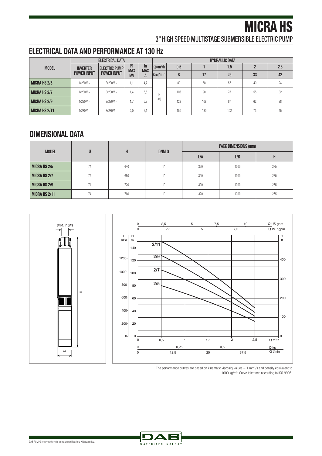3" HIGH SPEED MULTISTAGE SUBMERSIBLE ELECTRIC PUMP

## **ELECTRICAL DATA AND PERFORMANCE AT 130 Hz**

|                      |                    | <b>ELECTRICAL DATA</b> |                  |                 |             | <b>HYDRAULIC DATA</b> |     |     |    |     |    |  |
|----------------------|--------------------|------------------------|------------------|-----------------|-------------|-----------------------|-----|-----|----|-----|----|--|
| <b>MODEL</b>         | <b>INVERTER</b>    | <b>ELECTRIC PUMP</b>   | P <sub>1</sub>   | In              | $Q= m^3/h$  | 0,5                   |     | 1.5 | ŋ  | 2.5 |    |  |
|                      | <b>POWER INPUT</b> | <b>POWER INPUT</b>     | <b>MAX</b><br>kW | <b>MAX</b><br>A | $ Q=1/min $ | 8                     | 17  | 25  | 33 | 42  |    |  |
| <b>MICRA HS 2/5</b>  | $1x230V -$         | $3x230V -$             | -4<br>٠.         | 4.7             |             | 80                    | 68  | 55  | 40 | 24  |    |  |
| <b>MICRA HS 2/7</b>  | $1x230V -$         | $3x230V -$             | 1.4              | 5.5             | H           |                       | 105 | 90  | 73 | 55  | 32 |  |
| <b>MICRA HS 2/9</b>  | $1x230V -$         | $3x230V -$             | $\mathsf{L}$     | 6.3             | (m)         | 128                   | 108 | 87  | 62 | 38  |    |  |
| <b>MICRA HS 2/11</b> | $1x230V -$         | $3x230V -$             | 2.0              | ۰.۱             |             | 150                   | 130 | 102 | 75 | 45  |    |  |

### **DIMENSIONAL DATA**

| <b>MODEL</b>        |    | H   | DNM G  | <b>PACK DIMENSIONS (mm)</b> |      |     |  |  |
|---------------------|----|-----|--------|-----------------------------|------|-----|--|--|
|                     |    |     |        | L/A                         | L/B  | н   |  |  |
| <b>MICRA HS 2/5</b> | 74 | 640 |        | 320                         | 1300 | 275 |  |  |
| <b>MICRA HS 2/7</b> | 74 | 680 | 4.8    | 320                         | 1300 | 275 |  |  |
| <b>MICRA HS 2/9</b> | 74 | 720 | $-411$ | 320                         | 1300 | 275 |  |  |
| MICRA HS 2/11       | 74 | 760 | 4.8    | 320                         | 1300 | 275 |  |  |





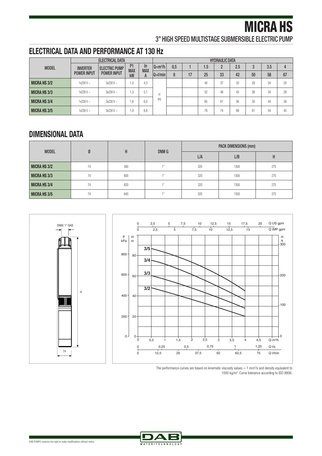3" HIGH SPEED MULTISTAGE SUBMERSIBLE ELECTRIC PUMP

## **ELECTRICAL DATA AND PERFORMANCE AT 130 Hz**

|                     | <b>ELECTRICAL DATA</b> |                      |                                    |                        | <b>HYDRAULIC DATA</b> |     |    |     |                |     |    |     |    |
|---------------------|------------------------|----------------------|------------------------------------|------------------------|-----------------------|-----|----|-----|----------------|-----|----|-----|----|
| <b>MODEL</b>        | <b>INVERTER</b>        | <b>ELECTRIC PUMP</b> | P <sub>1</sub><br><b>MAX</b><br>kW | In.<br><b>MAX</b><br>A | $Q=m^3/h$             | 0.5 |    | 1.5 | $\overline{2}$ | 2.5 | 3  | 3.5 | 4  |
|                     | <b>POWER INPUT</b>     | <b>POWER INPUT</b>   |                                    |                        | $Q=$ I/min            | 8   | 17 | 25  | 33             | 42  | 50 | 58  | 67 |
| <b>MICRA HS 3/2</b> | $1x230V -$             | $3x230V -$           | 1.0                                | 4.3                    |                       |     |    | 40  | 37             | 33  | 29 | 24  | 20 |
| <b>MICRA HS 3/3</b> | $1x230V -$             | $3x230V -$           | 1.3                                | 5.1                    | н                     |     |    | 52  | 48             | 43  | 38 | 34  | 28 |
| <b>MICRA HS 3/4</b> | $1x230V -$             | $3x230V -$           | 1.6                                | 6.0                    | (m)                   |     |    | 65  | 61             | 56  | 50 | 44  | 36 |
| <b>MICRA HS 3/5</b> | $1x230V -$             | $3x230V -$           | 1.9                                | 6.8                    |                       |     |    | 78  | 74             | 68  | 61 | 54  | 45 |

### **DIMENSIONAL DATA**

DNM: 1" GAS

| <b>MODEL</b>        |    | H   |        | PACK DIMENSIONS (mm) |      |     |  |  |
|---------------------|----|-----|--------|----------------------|------|-----|--|--|
|                     |    |     | DNM G  | L/A                  | L/B  | н   |  |  |
| <b>MICRA HS 3/2</b> | 74 | 580 |        | 320                  | 1300 | 275 |  |  |
| <b>MICRA HS 3/3</b> | 74 | 600 | $-411$ | 320                  | 1300 | 275 |  |  |
| <b>MICRA HS 3/4</b> | 74 | 620 | $-411$ | 320                  | 1300 | 275 |  |  |
| <b>MICRA HS 3/5</b> | 74 | 640 | $-411$ | 320                  | 1300 | 275 |  |  |







74

H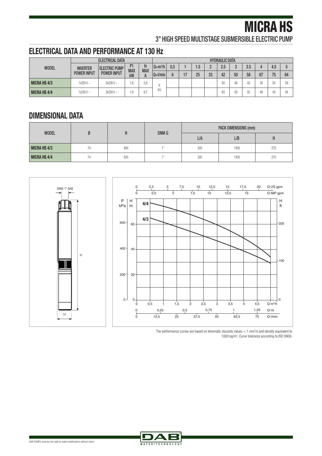3" HIGH SPEED MULTISTAGE SUBMERSIBLE ELECTRIC PUMP

### **ELECTRICAL DATA AND PERFORMANCE AT 130 Hz**

|                     | ELECTRICAL DATA                       |                                            |                  |                  | <b>HYDRAULIC DATA</b> |     |      |     |    |     |    |     |    |     |                |
|---------------------|---------------------------------------|--------------------------------------------|------------------|------------------|-----------------------|-----|------|-----|----|-----|----|-----|----|-----|----------------|
| <b>MODEL</b>        | <b>INVERTER</b><br><b>POWER INPUT</b> | <b>ELECTRIC PUMP</b><br><b>POWER INPUT</b> | D1<br><b>MAX</b> | In<br><b>MAX</b> | $Q= m^3/h$            | 0.5 |      | 1.5 |    | 2.5 | റ  | 3.5 |    | 4.5 |                |
|                     |                                       |                                            | kW               |                  | $ Q=1/min $           |     | $-1$ | 25  | 33 | 42  | 50 | 58  | 67 | 75  | 84             |
| <b>MICRA HS 4/3</b> | $1x230V -$                            | $3x230V -$                                 | .6               | 5.9              |                       |     |      |     |    | 50  | 46 | 42  | 39 | 35  |                |
| <b>MICRA HS 4/4</b> | $1x230V -$                            | $3x230V -$                                 | 1,9              | 6.7              | 'm)                   |     |      |     |    | 63  | 59 | 55  | 49 | 43  | 2 <sub>A</sub> |

## **DIMENSIONAL DATA**

| <b>MODEL</b>        |    |     | DNM G | <b>PACK DIMENSIONS (mm)</b> |      |     |  |  |
|---------------------|----|-----|-------|-----------------------------|------|-----|--|--|
|                     |    |     |       | L/A                         | L/B  |     |  |  |
| <b>MICRA HS 4/3</b> | 74 | 600 |       | 320                         | 1300 | 275 |  |  |
| <b>MICRA HS 4/4</b> | 74 | 620 |       | 320                         | 1300 | 275 |  |  |





The performance curves are based on kinematic viscosity values  $= 1$  mm<sup>2</sup>/s and density equivalent to 1000 kg/m3 . Curve tolerance according to ISO 9906.